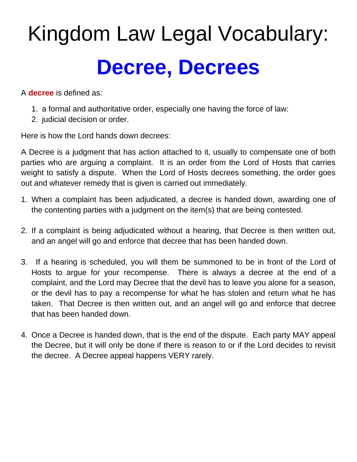## Kingdom Law Legal Vocabulary: **Decree, Decrees**

A **decree** is defined as:

- 1. a formal and authoritative order, especially one having the force of law:
- 2. judicial decision or order.

Here is how the Lord hands down decrees:

A Decree is a judgment that has action attached to it, usually to compensate one of both parties who are arguing a complaint. It is an order from the Lord of Hosts that carries weight to satisfy a dispute. When the Lord of Hosts decrees something, the order goes out and whatever remedy that is given is carried out immediately.

- 1. When a complaint has been adjudicated, a decree is handed down, awarding one of the contenting parties with a judgment on the item(s) that are being contested.
- 2. If a complaint is being adjudicated without a hearing, that Decree is then written out, and an angel will go and enforce that decree that has been handed down.
- 3. If a hearing is scheduled, you will them be summoned to be in front of the Lord of Hosts to argue for your recompense. There is always a decree at the end of a complaint, and the Lord may Decree that the devil has to leave you alone for a season, or the devil has to pay a recompense for what he has stolen and return what he has taken. That Decree is then written out, and an angel will go and enforce that decree that has been handed down.
- 4. Once a Decree is handed down, that is the end of the dispute. Each party MAY appeal the Decree, but it will only be done if there is reason to or if the Lord decides to revisit the decree. A Decree appeal happens VERY rarely.